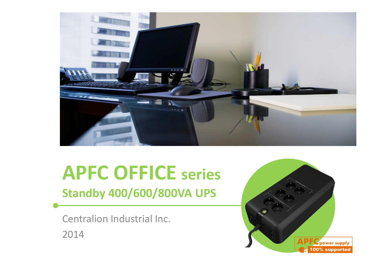

# APFC OFFICE series

Standby 400/600/800VA UPS

Centralion Industrial Inc.2014

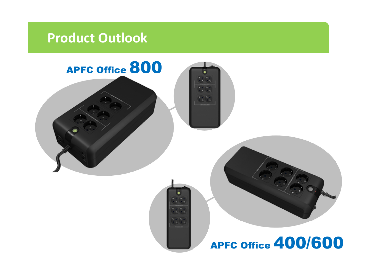### Product Outlook

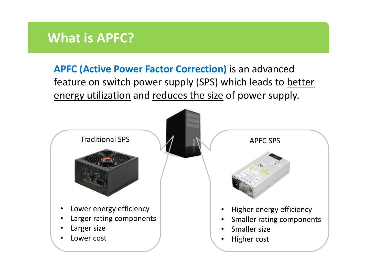#### What is APFC?

APFC (Active Power Factor Correction) is an advanced feature on switch power supply (SPS) which leads to better energy utilization and reduces the size of power supply.

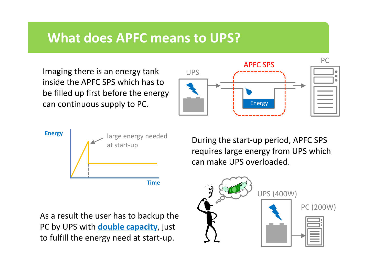#### What does APFC means to UPS?

Imaging there is an energy tank inside the APFC SPS which has to be filled up first before the energy can continuous supply to PC.





During the start-up period, APFC SPS requires large energy from UPS which can make UPS overloaded.

As a result the user has to backup the PC by UPS with **double capacity**, just to fulfill the energy need at start-up.

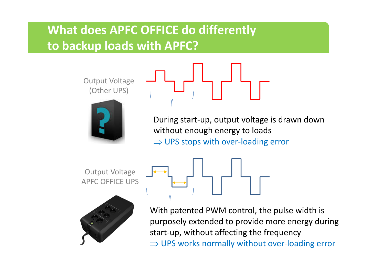#### What does APFC OFFICE do differentlyto backup loads with APFC?

Output Voltage(Other UPS)



During start-up, output voltage is drawn down without enough energy to loads⇒ UPS stops with over-loading error

Output VoltageAPFC OFFICE UPS



With patented PWM control, the pulse width is purposely extended to provide more energy during start-up, without affecting the frequency⇒ UPS works normally without over-loading error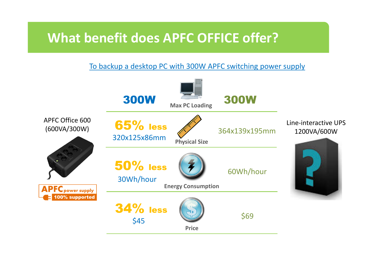#### What benefit does APFC OFFICE offer?

#### To backup a desktop PC with 300W APFC switching power supply

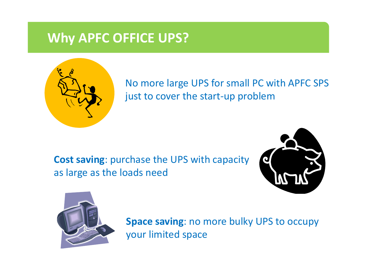#### Why APFC OFFICE UPS?



No more large UPS for small PC with APFC SPS just to cover the start-up problem

Cost saving: purchase the UPS with capacity as large as the loads need





Space saving: no more bulky UPS to occupy your limited space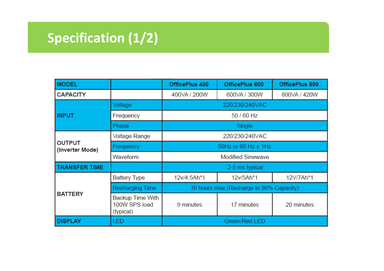# Specification (1/2)

| <b>MODEL</b>                     |                                                       | OfficePlus 400                          | OfficePlus 600 | OfficePlus 800 |  |
|----------------------------------|-------------------------------------------------------|-----------------------------------------|----------------|----------------|--|
| <b>CAPACITY</b>                  |                                                       | 400VA / 200W                            | 600VA / 300W   | 800VA / 420W   |  |
| <b>INPUT</b>                     | Voltage                                               | 220/230/240VAC                          |                |                |  |
|                                  | Frequency                                             | 50 / 60 Hz                              |                |                |  |
|                                  | Phase                                                 | Single                                  |                |                |  |
| <b>OUTPUT</b><br>(Inverter Mode) | <b>Voltage Range</b>                                  | 220/230/240VAC                          |                |                |  |
|                                  | Frequency                                             | 50Hz or 60 Hz ± 1Hz                     |                |                |  |
|                                  | Waveform                                              | <b>Modified Sinewave</b>                |                |                |  |
| <b>TRANSFER TIME</b>             |                                                       | 2-8 ms typical                          |                |                |  |
| <b>BATTERY</b>                   | <b>Battery Type</b>                                   | 12v/4.5Ah*1                             | 12v/5Ah*1      | 12V/7Ah*1      |  |
|                                  | Recharging Time                                       | 10 hours max.(Recharge to 90% Capacity) |                |                |  |
|                                  | <b>Backup Time With</b><br>100W SPS load<br>(typical) | 9 minutes                               | 17 minutes     | 20 minutes     |  |
| <b>DISPLAY</b>                   | LED                                                   | Green/Red LED                           |                |                |  |